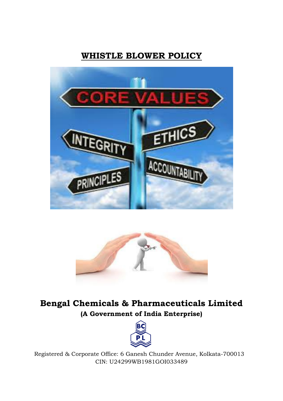# **WHISTLE BLOWER POLICY**





**Bengal Chemicals & Pharmaceuticals Limited (A Government of India Enterprise)**



Registered & Corporate Office: 6 Ganesh Chunder Avenue, Kolkata-700013 CIN: U24299WB1981GOI033489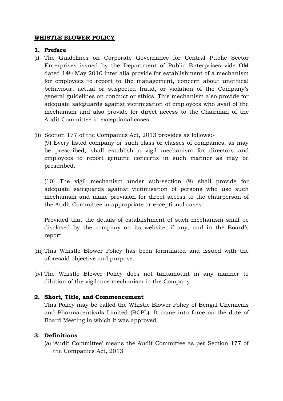# **WHISTLE BLOWER POLICY**

## **1. Preface**

- (i) The Guidelines on Corporate Governance for Central Public Sector Enterprises issued by the Department of Public Enterprises vide OM dated 14th May 2010 inter alia provide for establishment of a mechanism for employees to report to the management, concern about unethical behaviour, actual or suspected fraud, or violation of the Company's general guidelines on conduct or ethics. This mechanism also provide for adequate safeguards against victimization of employees who avail of the mechanism and also provide for direct access to the Chairman of the Audit Committee in exceptional cases.
- (ii) Section 177 of the Companies Act, 2013 provides as follows:-

(9) Every listed company or such class or classes of companies, as may be prescribed, shall establish a vigil mechanism for directors and employees to report genuine concerns in such manner as may be prescribed.

(10) The vigil mechanism under sub-section (9) shall provide for adequate safeguards against victimisation of persons who use such mechanism and make provision for direct access to the chairperson of the Audit Committee in appropriate or exceptional cases:

Provided that the details of establishment of such mechanism shall be disclosed by the company on its website, if any, and in the Board's report.

- (iii) This Whistle Blower Policy has been formulated and issued with the aforesaid objective and purpose.
- (iv) The Whistle Blower Policy does not tantamount in any manner to dilution of the vigilance mechanism in the Company.

### **2. Short, Title, and Commencement**

This Policy may be called the Whistle Blower Policy of Bengal Chemicals and Pharmaceuticals Limited (BCPL). It came into force on the date of Board Meeting in which it was approved.

# **3. Definitions**

(a) 'Audit Committee' means the Audit Committee as per Section 177 of the Companies Act, 2013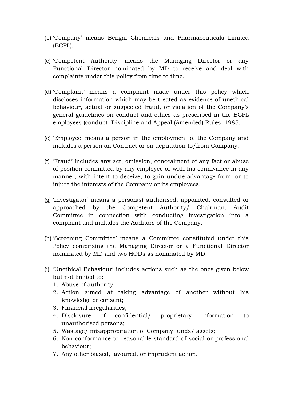- (b) 'Company' means Bengal Chemicals and Pharmaceuticals Limited (BCPL).
- (c) 'Competent Authority' means the Managing Director or any Functional Director nominated by MD to receive and deal with complaints under this policy from time to time.
- (d) 'Complaint' means a complaint made under this policy which discloses information which may be treated as evidence of unethical behaviour, actual or suspected fraud, or violation of the Company's general guidelines on conduct and ethics as prescribed in the BCPL employees (conduct, Discipline and Appeal (Amended) Rules, 1985.
- (e) 'Employee' means a person in the employment of the Company and includes a person on Contract or on deputation to/from Company.
- (f) 'Fraud' includes any act, omission, concealment of any fact or abuse of position committed by any employee or with his connivance in any manner, with intent to deceive, to gain undue advantage from, or to injure the interests of the Company or its employees.
- (g) 'Investigator' means a person(s) authorised, appointed, consulted or approached by the Competent Authority/ Chairman, Audit Committee in connection with conducting investigation into a complaint and includes the Auditors of the Company.
- (h) 'Screening Committee' means a Committee constituted under this Policy comprising the Managing Director or a Functional Director nominated by MD and two HODs as nominated by MD.
- (i) 'Unethical Behaviour' includes actions such as the ones given below but not limited to:
	- 1. Abuse of authority;
	- 2. Action aimed at taking advantage of another without his knowledge or consent;
	- 3. Financial irregularities;
	- 4. Disclosure of confidential/ proprietary information to unauthorised persons;
	- 5. Wastage/ misappropriation of Company funds/ assets;
	- 6. Non-conformance to reasonable standard of social or professional behaviour;
	- 7. Any other biased, favoured, or imprudent action.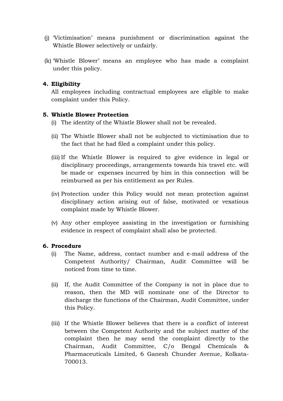- (j) 'Victimisation' means punishment or discrimination against the Whistle Blower selectively or unfairly.
- (k) 'Whistle Blower' means an employee who has made a complaint under this policy.

# **4. Eligibility**

All employees including contractual employees are eligible to make complaint under this Policy.

### **5. Whistle Blower Protection**

- (i) The identity of the Whistle Blower shall not be revealed.
- (ii) The Whistle Blower shall not be subjected to victimisation due to the fact that he had filed a complaint under this policy.
- (iii) If the Whistle Blower is required to give evidence in legal or disciplinary proceedings, arrangements towards his travel etc. will be made or expenses incurred by him in this connection will be reimbursed as per his entitlement as per Rules.
- (iv) Protection under this Policy would not mean protection against disciplinary action arising out of false, motivated or vexatious complaint made by Whistle Blower.
- (v) Any other employee assisting in the investigation or furnishing evidence in respect of complaint shall also be protected.

### **6. Procedure**

- (i) The Name, address, contact number and e-mail address of the Competent Authority/ Chairman, Audit Committee will be noticed from time to time.
- (ii) If, the Audit Committee of the Company is not in place due to reason, then the MD will nominate one of the Director to discharge the functions of the Chairman, Audit Committee, under this Policy.
- (iii) If the Whistle Blower believes that there is a conflict of interest between the Competent Authority and the subject matter of the complaint then he may send the complaint directly to the Chairman, Audit Committee, C/o Bengal Chemicals & Pharmaceuticals Limited, 6 Ganesh Chunder Avenue, Kolkata-700013.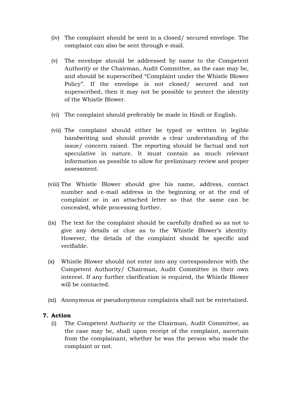- (iv) The complaint should be sent in a closed/ secured envelope. The complaint can also be sent through e-mail.
- (v) The envelope should be addressed by name to the Competent Authority or the Chairman, Audit Committee, as the case may be, and should be superscribed "Complaint under the Whistle Blower Policy". If the envelope is not closed/ secured and not superscribed, then it may not be possible to protect the identity of the Whistle Blower.
- (vi) The complaint should preferably be made in Hindi or English.
- (vii) The complaint should either be typed or written in legible handwriting and should provide a clear understanding of the issue/ concern raised. The reporting should be factual and not speculative in nature. It must contain as much relevant information as possible to allow for preliminary review and proper assessment.
- (viii) The Whistle Blower should give his name, address, contact number and e-mail address in the beginning or at the end of complaint or in an attached letter so that the same can be concealed, while processing further.
- (ix) The text for the complaint should be carefully drafted so as not to give any details or clue as to the Whistle Blower's identity. However, the details of the complaint should be specific and verifiable.
- (x) Whistle Blower should not enter into any correspondence with the Competent Authority/ Chairman, Audit Committee in their own interest. If any further clarification is required, the Whistle Blower will be contacted.
- (xi) Anonymous or pseudonymous complaints shall not be entertained.

### **7. Action**

(i) The Competent Authority or the Chairman, Audit Committee, as the case may be, shall upon receipt of the complaint, ascertain from the complainant, whether he was the person who made the complaint or not.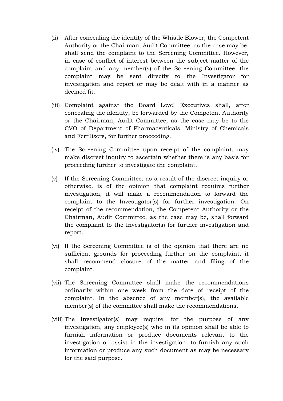- (ii) After concealing the identity of the Whistle Blower, the Competent Authority or the Chairman, Audit Committee, as the case may be, shall send the complaint to the Screening Committee. However, in case of conflict of interest between the subject matter of the complaint and any member(s) of the Screening Committee, the complaint may be sent directly to the Investigator for investigation and report or may be dealt with in a manner as deemed fit.
- (iii) Complaint against the Board Level Executives shall, after concealing the identity, be forwarded by the Competent Authority or the Chairman, Audit Committee, as the case may be to the CVO of Department of Pharmaceuticals, Ministry of Chemicals and Fertilizers, for further proceeding.
- (iv) The Screening Committee upon receipt of the complaint, may make discreet inquiry to ascertain whether there is any basis for proceeding further to investigate the complaint.
- (v) If the Screening Committee, as a result of the discreet inquiry or otherwise, is of the opinion that complaint requires further investigation, it will make a recommendation to forward the complaint to the Investigator(s) for further investigation. On receipt of the recommendation, the Competent Authority or the Chairman, Audit Committee, as the case may be, shall forward the complaint to the Investigator(s) for further investigation and report.
- (vi) If the Screening Committee is of the opinion that there are no sufficient grounds for proceeding further on the complaint, it shall recommend closure of the matter and filing of the complaint.
- (vii) The Screening Committee shall make the recommendations ordinarily within one week from the date of receipt of the complaint. In the absence of any member(s), the available member(s) of the committee shall make the recommendations.
- (viii) The Investigator(s) may require, for the purpose of any investigation, any employee(s) who in its opinion shall be able to furnish information or produce documents relevant to the investigation or assist in the investigation, to furnish any such information or produce any such document as may be necessary for the said purpose.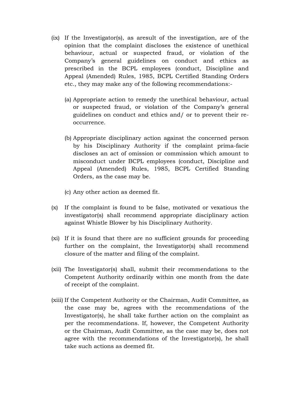- (ix) If the Investigator(s), as aresult of the investigation, are of the opinion that the complaint discloses the existence of unethical behaviour, actual or suspected fraud, or violation of the Company's general guidelines on conduct and ethics as prescribed in the BCPL employees (conduct, Discipline and Appeal (Amended) Rules, 1985, BCPL Certified Standing Orders etc., they may make any of the following recommendations:-
	- (a) Appropriate action to remedy the unethical behaviour, actual or suspected fraud, or violation of the Company's general guidelines on conduct and ethics and/ or to prevent their reoccurrence.
	- (b) Appropriate disciplinary action against the concerned person by his Disciplinary Authority if the complaint prima-facie discloses an act of omission or commission which amount to misconduct under BCPL employees (conduct, Discipline and Appeal (Amended) Rules, 1985, BCPL Certified Standing Orders, as the case may be.
	- (c) Any other action as deemed fit.
- (x) If the complaint is found to be false, motivated or vexatious the investigator(s) shall recommend appropriate disciplinary action against Whistle Blower by his Disciplinary Authority.
- (xi) If it is found that there are no sufficient grounds for proceeding further on the complaint, the Investigator(s) shall recommend closure of the matter and filing of the complaint.
- (xii) The Investigator(s) shall, submit their recommendations to the Competent Authority ordinarily within one month from the date of receipt of the complaint.
- (xiii) If the Competent Authority or the Chairman, Audit Committee, as the case may be, agrees with the recommendations of the Investigator(s), he shall take further action on the complaint as per the recommendations. If, however, the Competent Authority or the Chairman, Audit Committee, as the case may be, does not agree with the recommendations of the Investigator(s), he shall take such actions as deemed fit.